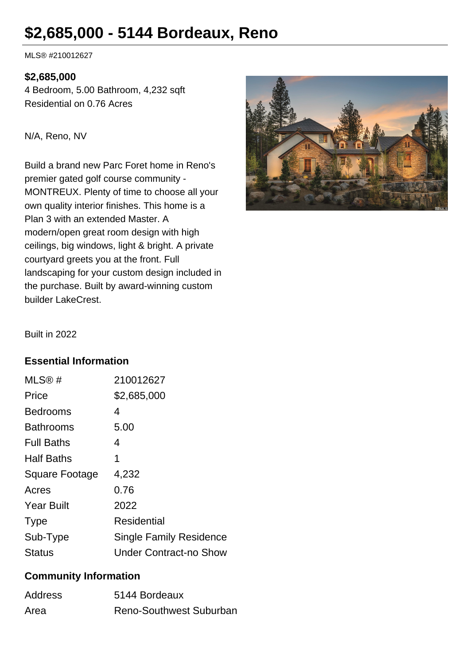# **\$2,685,000 - 5144 Bordeaux, Reno**

MLS® #210012627

#### **\$2,685,000**

4 Bedroom, 5.00 Bathroom, 4,232 sqft Residential on 0.76 Acres

N/A, Reno, NV

Build a brand new Parc Foret home in Reno's premier gated golf course community - MONTREUX. Plenty of time to choose all your own quality interior finishes. This home is a Plan 3 with an extended Master. A modern/open great room design with high ceilings, big windows, light & bright. A private courtyard greets you at the front. Full landscaping for your custom design included in the purchase. Built by award-winning custom builder LakeCrest.



Built in 2022

#### **Essential Information**

| MLS®#             | 210012627                      |
|-------------------|--------------------------------|
| Price             | \$2,685,000                    |
| <b>Bedrooms</b>   | 4                              |
| <b>Bathrooms</b>  | 5.00                           |
| <b>Full Baths</b> | 4                              |
| <b>Half Baths</b> | 1                              |
| Square Footage    | 4,232                          |
| Acres             | 0.76                           |
| <b>Year Built</b> | 2022                           |
| <b>Type</b>       | <b>Residential</b>             |
| Sub-Type          | <b>Single Family Residence</b> |
| <b>Status</b>     | <b>Under Contract-no Show</b>  |

#### **Community Information**

| <b>Address</b> | 5144 Bordeaux           |
|----------------|-------------------------|
| Area           | Reno-Southwest Suburban |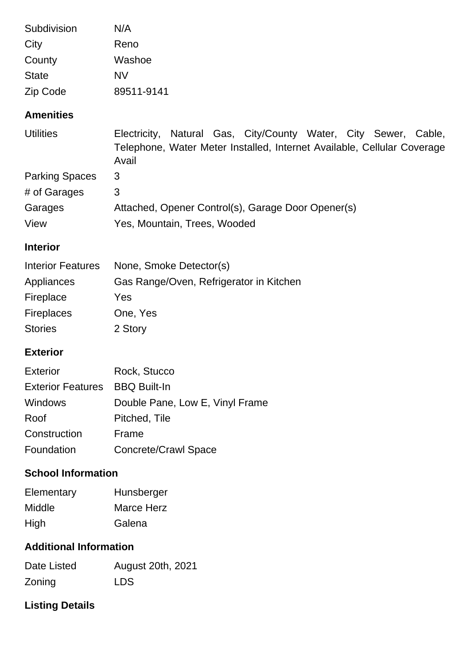| Subdivision              | N/A                                                                                                                                                 |  |
|--------------------------|-----------------------------------------------------------------------------------------------------------------------------------------------------|--|
| City                     | Reno                                                                                                                                                |  |
| County                   | Washoe                                                                                                                                              |  |
| <b>State</b>             | <b>NV</b>                                                                                                                                           |  |
| Zip Code                 | 89511-9141                                                                                                                                          |  |
| <b>Amenities</b>         |                                                                                                                                                     |  |
| <b>Utilities</b>         | Electricity, Natural Gas, City/County Water, City Sewer, Cable,<br>Telephone, Water Meter Installed, Internet Available, Cellular Coverage<br>Avail |  |
| <b>Parking Spaces</b>    | 3                                                                                                                                                   |  |
| # of Garages             | 3                                                                                                                                                   |  |
| Garages                  | Attached, Opener Control(s), Garage Door Opener(s)                                                                                                  |  |
| View                     | Yes, Mountain, Trees, Wooded                                                                                                                        |  |
| <b>Interior</b>          |                                                                                                                                                     |  |
| <b>Interior Features</b> | None, Smoke Detector(s)                                                                                                                             |  |
| Appliances               | Gas Range/Oven, Refrigerator in Kitchen                                                                                                             |  |
| Fireplace                | Yes                                                                                                                                                 |  |
| <b>Fireplaces</b>        | One, Yes                                                                                                                                            |  |
| <b>Stories</b>           | 2 Story                                                                                                                                             |  |

#### **Exterior**

| <b>Exterior</b>                       | Rock, Stucco                    |
|---------------------------------------|---------------------------------|
| <b>Exterior Features</b> BBQ Built-In |                                 |
| Windows                               | Double Pane, Low E, Vinyl Frame |
| Roof                                  | Pitched, Tile                   |
| Construction                          | Frame                           |
| Foundation                            | <b>Concrete/Crawl Space</b>     |

### **School Information**

| Elementary | Hunsberger |
|------------|------------|
| Middle     | Marce Herz |
| High       | Galena     |

#### **Additional Information**

| Date Listed | August 20th, 2021 |
|-------------|-------------------|
| Zoning      | LDS.              |

## **Listing Details**